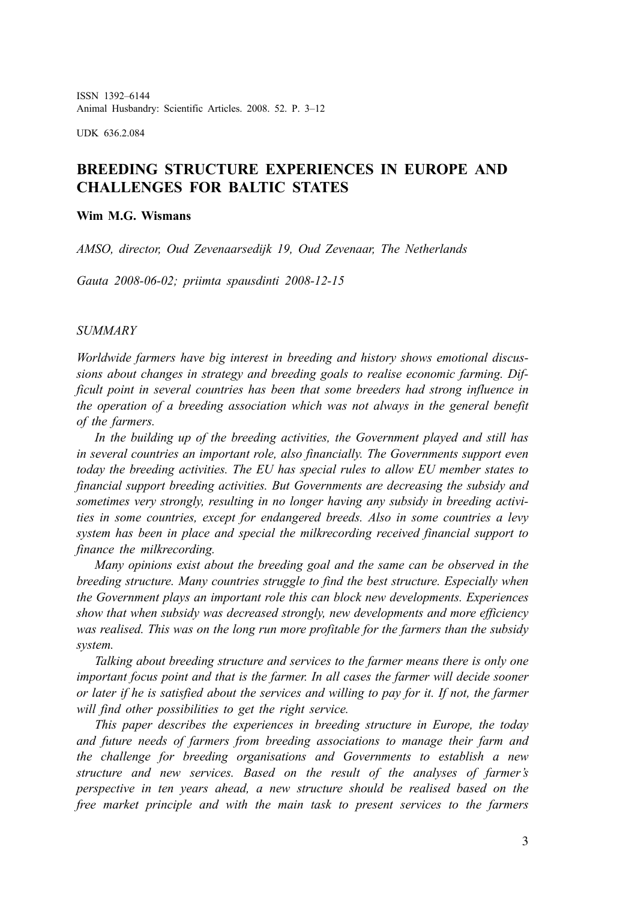ISSN 1392–6144 Animal Husbandry: Scientific Articles. 2008. 52. P. 3–12

UDK 636.2.084

## **BREEDING STRUCTURE EXPERIENCES IN EUROPE AND CHALLENGES FOR BALTIC STATES**

### **Wim M.G. Wismans**

*AMSO, director, Oud Zevenaarsedijk 19, Oud Zevenaar, The Netherlands*

*Gauta 2008-06-02; priimta spausdinti 2008-12-15*

#### *SUMMARY*

*Worldwide farmers have big interest in breeding and history shows emotional discussions about changes in strategy and breeding goals to realise economic farming. Difficult point in several countries has been that some breeders had strong influence in the operation of a breeding association which was not always in the general benefit of the farmers.*

*In the building up of the breeding activities, the Government played and still has in several countries an important role, also financially. The Governments support even today the breeding activities. The EU has special rules to allow EU member states to financial support breeding activities. But Governments are decreasing the subsidy and sometimes very strongly, resulting in no longer having any subsidy in breeding activities in some countries, except for endangered breeds. Also in some countries a levy system has been in place and special the milkrecording received financial support to finance the milkrecording.*

*Many opinions exist about the breeding goal and the same can be observed in the breeding structure. Many countries struggle to find the best structure. Especially when the Government plays an important role this can block new developments. Experiences show that when subsidy was decreased strongly, new developments and more efficiency was realised. This was on the long run more profitable for the farmers than the subsidy system.*

*Talking about breeding structure and services to the farmer means there is only one important focus point and that is the farmer. In all cases the farmer will decide sooner or later if he is satisfied about the services and willing to pay for it. If not, the farmer will find other possibilities to get the right service.*

*This paper describes the experiences in breeding structure in Europe, the today and future needs of farmers from breeding associations to manage their farm and the challenge for breeding organisations and Governments to establish a new structure and new services. Based on the result of the analyses of farmer's perspective in ten years ahead, a new structure should be realised based on the free market principle and with the main task to present services to the farmers*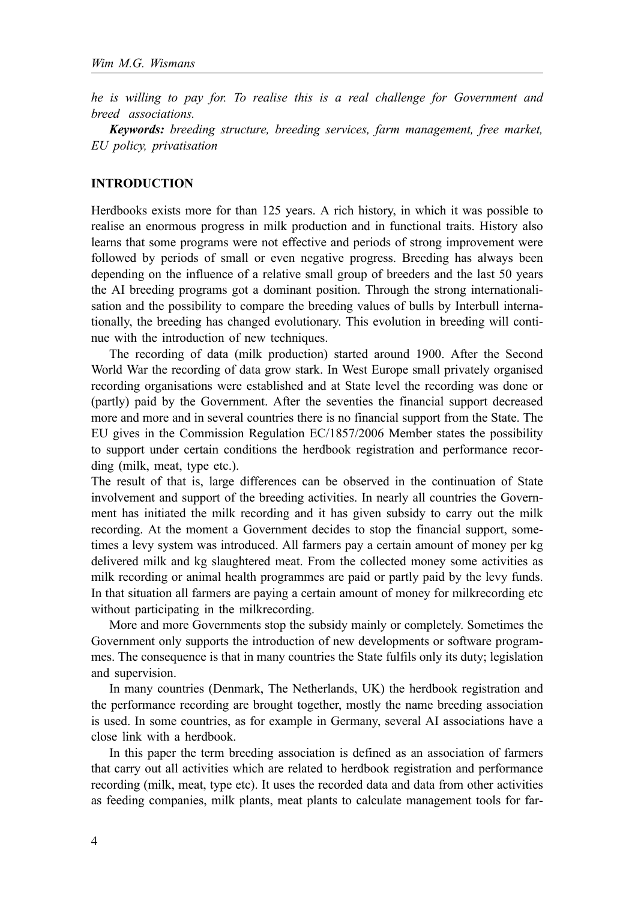*he is willing to pay for. To realise this is a real challenge for Government and breed associations.*

*Keywords: breeding structure, breeding services, farm management, free market, EU policy, privatisation*

### **INTRODUCTION**

Herdbooks exists more for than 125 years. A rich history, in which it was possible to realise an enormous progress in milk production and in functional traits. History also learns that some programs were not effective and periods of strong improvement were followed by periods of small or even negative progress. Breeding has always been depending on the influence of a relative small group of breeders and the last 50 years the AI breeding programs got a dominant position. Through the strong internationalisation and the possibility to compare the breeding values of bulls by Interbull internationally, the breeding has changed evolutionary. This evolution in breeding will continue with the introduction of new techniques.

The recording of data (milk production) started around 1900. After the Second World War the recording of data grow stark. In West Europe small privately organised recording organisations were established and at State level the recording was done or (partly) paid by the Government. After the seventies the financial support decreased more and more and in several countries there is no financial support from the State. The EU gives in the Commission Regulation EC/1857/2006 Member states the possibility to support under certain conditions the herdbook registration and performance recording (milk, meat, type etc.).

The result of that is, large differences can be observed in the continuation of State involvement and support of the breeding activities. In nearly all countries the Government has initiated the milk recording and it has given subsidy to carry out the milk recording. At the moment a Government decides to stop the financial support, sometimes a levy system was introduced. All farmers pay a certain amount of money per kg delivered milk and kg slaughtered meat. From the collected money some activities as milk recording or animal health programmes are paid or partly paid by the levy funds. In that situation all farmers are paying a certain amount of money for milkrecording etc. without participating in the milkrecording.

More and more Governments stop the subsidy mainly or completely. Sometimes the Government only supports the introduction of new developments or software programmes. The consequence is that in many countries the State fulfils only its duty; legislation and supervision.

In many countries (Denmark, The Netherlands, UK) the herdbook registration and the performance recording are brought together, mostly the name breeding association is used. In some countries, as for example in Germany, several AI associations have a close link with a herdbook.

In this paper the term breeding association is defined as an association of farmers that carry out all activities which are related to herdbook registration and performance recording (milk, meat, type etc). It uses the recorded data and data from other activities as feeding companies, milk plants, meat plants to calculate management tools for far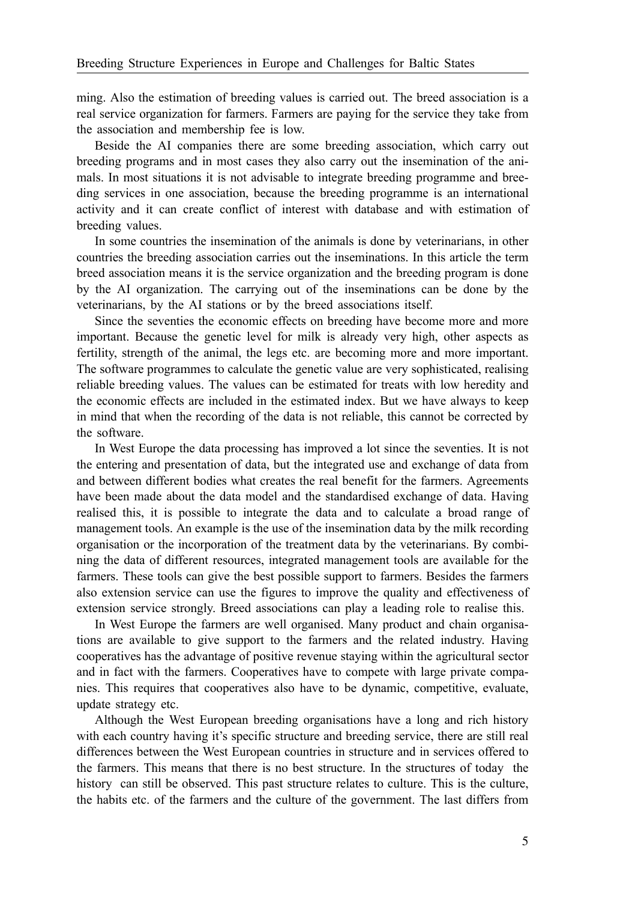ming. Also the estimation of breeding values is carried out. The breed association is a real service organization for farmers. Farmers are paying for the service they take from the association and membership fee is low.

Beside the AI companies there are some breeding association, which carry out breeding programs and in most cases they also carry out the insemination of the animals. In most situations it is not advisable to integrate breeding programme and breeding services in one association, because the breeding programme is an international activity and it can create conflict of interest with database and with estimation of breeding values.

In some countries the insemination of the animals is done by veterinarians, in other countries the breeding association carries out the inseminations. In this article the term breed association means it is the service organization and the breeding program is done by the AI organization. The carrying out of the inseminations can be done by the veterinarians, by the AI stations or by the breed associations itself.

Since the seventies the economic effects on breeding have become more and more important. Because the genetic level for milk is already very high, other aspects as fertility, strength of the animal, the legs etc. are becoming more and more important. The software programmes to calculate the genetic value are very sophisticated, realising reliable breeding values. The values can be estimated for treats with low heredity and the economic effects are included in the estimated index. But we have always to keep in mind that when the recording of the data is not reliable, this cannot be corrected by the software.

In West Europe the data processing has improved a lot since the seventies. It is not the entering and presentation of data, but the integrated use and exchange of data from and between different bodies what creates the real benefit for the farmers. Agreements have been made about the data model and the standardised exchange of data. Having realised this, it is possible to integrate the data and to calculate a broad range of management tools. An example is the use of the insemination data by the milk recording organisation or the incorporation of the treatment data by the veterinarians. By combining the data of different resources, integrated management tools are available for the farmers. These tools can give the best possible support to farmers. Besides the farmers also extension service can use the figures to improve the quality and effectiveness of extension service strongly. Breed associations can play a leading role to realise this.

In West Europe the farmers are well organised. Many product and chain organisations are available to give support to the farmers and the related industry. Having cooperatives has the advantage of positive revenue staying within the agricultural sector and in fact with the farmers. Cooperatives have to compete with large private companies. This requires that cooperatives also have to be dynamic, competitive, evaluate, update strategy etc.

Although the West European breeding organisations have a long and rich history with each country having it's specific structure and breeding service, there are still real differences between the West European countries in structure and in services offered to the farmers. This means that there is no best structure. In the structures of today the history can still be observed. This past structure relates to culture. This is the culture, the habits etc. of the farmers and the culture of the government. The last differs from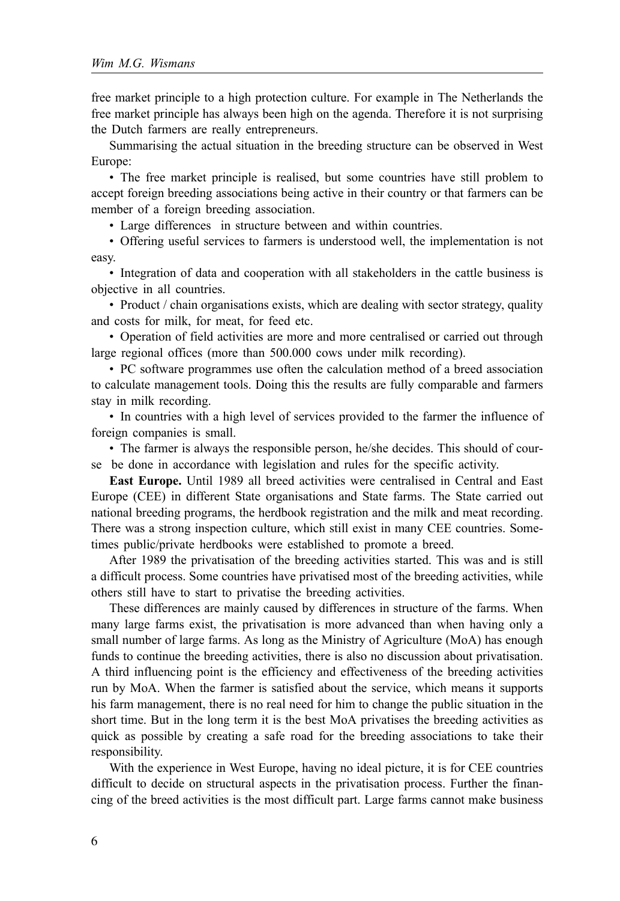free market principle to a high protection culture. For example in The Netherlands the free market principle has always been high on the agenda. Therefore it is not surprising the Dutch farmers are really entrepreneurs.

Summarising the actual situation in the breeding structure can be observed in West Europe:

• The free market principle is realised, but some countries have still problem to accept foreign breeding associations being active in their country or that farmers can be member of a foreign breeding association.

• Large differences in structure between and within countries.

• Offering useful services to farmers is understood well, the implementation is not easy.

• Integration of data and cooperation with all stakeholders in the cattle business is objective in all countries.

• Product / chain organisations exists, which are dealing with sector strategy, quality and costs for milk, for meat, for feed etc.

• Operation of field activities are more and more centralised or carried out through large regional offices (more than 500.000 cows under milk recording).

• PC software programmes use often the calculation method of a breed association to calculate management tools. Doing this the results are fully comparable and farmers stay in milk recording.

• In countries with a high level of services provided to the farmer the influence of foreign companies is small.

• The farmer is always the responsible person, he/she decides. This should of course be done in accordance with legislation and rules for the specific activity.

**East Europe.** Until 1989 all breed activities were centralised in Central and East Europe (CEE) in different State organisations and State farms. The State carried out national breeding programs, the herdbook registration and the milk and meat recording. There was a strong inspection culture, which still exist in many CEE countries. Sometimes public/private herdbooks were established to promote a breed.

After 1989 the privatisation of the breeding activities started. This was and is still a difficult process. Some countries have privatised most of the breeding activities, while others still have to start to privatise the breeding activities.

These differences are mainly caused by differences in structure of the farms. When many large farms exist, the privatisation is more advanced than when having only a small number of large farms. As long as the Ministry of Agriculture (MoA) has enough funds to continue the breeding activities, there is also no discussion about privatisation. A third influencing point is the efficiency and effectiveness of the breeding activities run by MoA. When the farmer is satisfied about the service, which means it supports his farm management, there is no real need for him to change the public situation in the short time. But in the long term it is the best MoA privatises the breeding activities as quick as possible by creating a safe road for the breeding associations to take their responsibility.

With the experience in West Europe, having no ideal picture, it is for CEE countries difficult to decide on structural aspects in the privatisation process. Further the financing of the breed activities is the most difficult part. Large farms cannot make business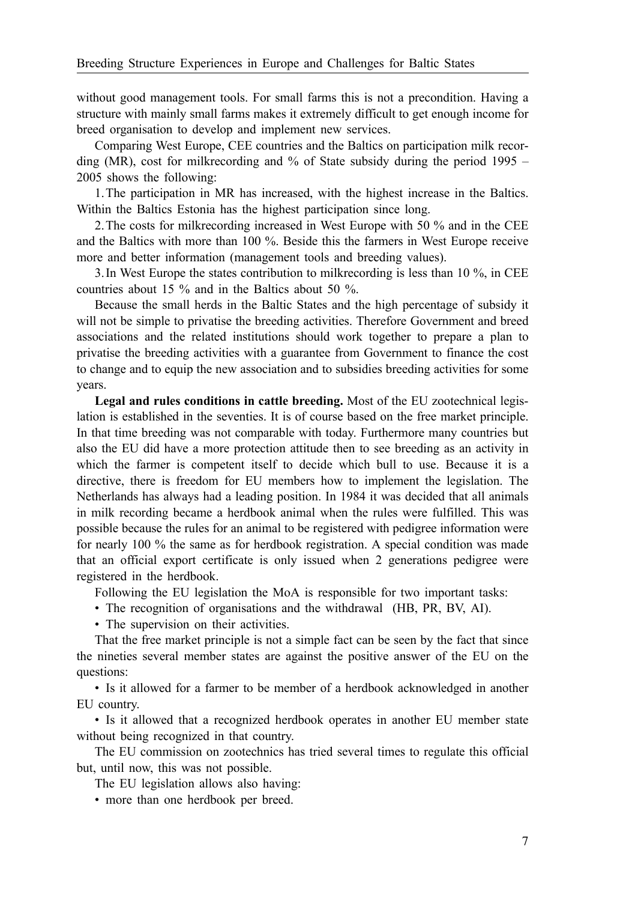without good management tools. For small farms this is not a precondition. Having a structure with mainly small farms makes it extremely difficult to get enough income for breed organisation to develop and implement new services.

Comparing West Europe, CEE countries and the Baltics on participation milk recording (MR), cost for milkrecording and % of State subsidy during the period 1995 – 2005 shows the following:

1.The participation in MR has increased, with the highest increase in the Baltics. Within the Baltics Estonia has the highest participation since long.

2.The costs for milkrecording increased in West Europe with 50 % and in the CEE and the Baltics with more than 100 %. Beside this the farmers in West Europe receive more and better information (management tools and breeding values).

3.In West Europe the states contribution to milkrecording is less than 10 %, in CEE countries about 15 % and in the Baltics about 50 %.

Because the small herds in the Baltic States and the high percentage of subsidy it will not be simple to privatise the breeding activities. Therefore Government and breed associations and the related institutions should work together to prepare a plan to privatise the breeding activities with a guarantee from Government to finance the cost to change and to equip the new association and to subsidies breeding activities for some years.

**Legal and rules conditions in cattle breeding.** Most of the EU zootechnical legislation is established in the seventies. It is of course based on the free market principle. In that time breeding was not comparable with today. Furthermore many countries but also the EU did have a more protection attitude then to see breeding as an activity in which the farmer is competent itself to decide which bull to use. Because it is a directive, there is freedom for EU members how to implement the legislation. The Netherlands has always had a leading position. In 1984 it was decided that all animals in milk recording became a herdbook animal when the rules were fulfilled. This was possible because the rules for an animal to be registered with pedigree information were for nearly 100 % the same as for herdbook registration. A special condition was made that an official export certificate is only issued when 2 generations pedigree were registered in the herdbook.

Following the EU legislation the MoA is responsible for two important tasks:

• The recognition of organisations and the withdrawal (HB, PR, BV, AI).

• The supervision on their activities.

That the free market principle is not a simple fact can be seen by the fact that since the nineties several member states are against the positive answer of the EU on the questions:

• Is it allowed for a farmer to be member of a herdbook acknowledged in another EU country.

• Is it allowed that a recognized herdbook operates in another EU member state without being recognized in that country.

The EU commission on zootechnics has tried several times to regulate this official but, until now, this was not possible.

The EU legislation allows also having:

• more than one herdbook per breed.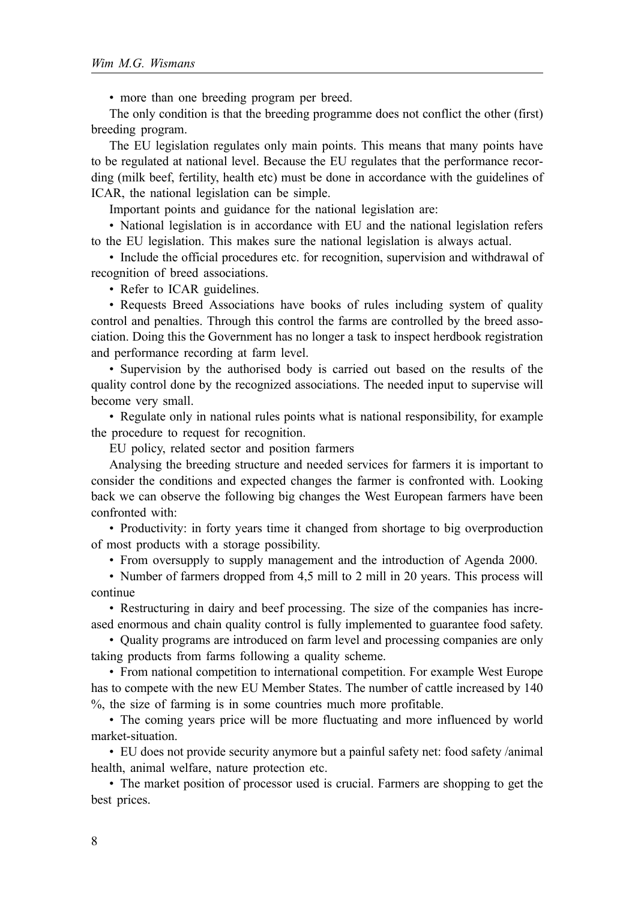• more than one breeding program per breed.

The only condition is that the breeding programme does not conflict the other (first) breeding program.

The EU legislation regulates only main points. This means that many points have to be regulated at national level. Because the EU regulates that the performance recording (milk beef, fertility, health etc) must be done in accordance with the guidelines of ICAR, the national legislation can be simple.

Important points and guidance for the national legislation are:

• National legislation is in accordance with EU and the national legislation refers to the EU legislation. This makes sure the national legislation is always actual.

• Include the official procedures etc. for recognition, supervision and withdrawal of recognition of breed associations.

• Refer to ICAR guidelines.

• Requests Breed Associations have books of rules including system of quality control and penalties. Through this control the farms are controlled by the breed association. Doing this the Government has no longer a task to inspect herdbook registration and performance recording at farm level.

• Supervision by the authorised body is carried out based on the results of the quality control done by the recognized associations. The needed input to supervise will become very small.

• Regulate only in national rules points what is national responsibility, for example the procedure to request for recognition.

EU policy, related sector and position farmers

Analysing the breeding structure and needed services for farmers it is important to consider the conditions and expected changes the farmer is confronted with. Looking back we can observe the following big changes the West European farmers have been confronted with:

• Productivity: in forty years time it changed from shortage to big overproduction of most products with a storage possibility.

• From oversupply to supply management and the introduction of Agenda 2000.

• Number of farmers dropped from 4,5 mill to 2 mill in 20 years. This process will continue

• Restructuring in dairy and beef processing. The size of the companies has increased enormous and chain quality control is fully implemented to guarantee food safety.

• Quality programs are introduced on farm level and processing companies are only taking products from farms following a quality scheme.

• From national competition to international competition. For example West Europe has to compete with the new EU Member States. The number of cattle increased by 140 %, the size of farming is in some countries much more profitable.

• The coming years price will be more fluctuating and more influenced by world market-situation.

• EU does not provide security anymore but a painful safety net: food safety /animal health, animal welfare, nature protection etc.

• The market position of processor used is crucial. Farmers are shopping to get the best prices.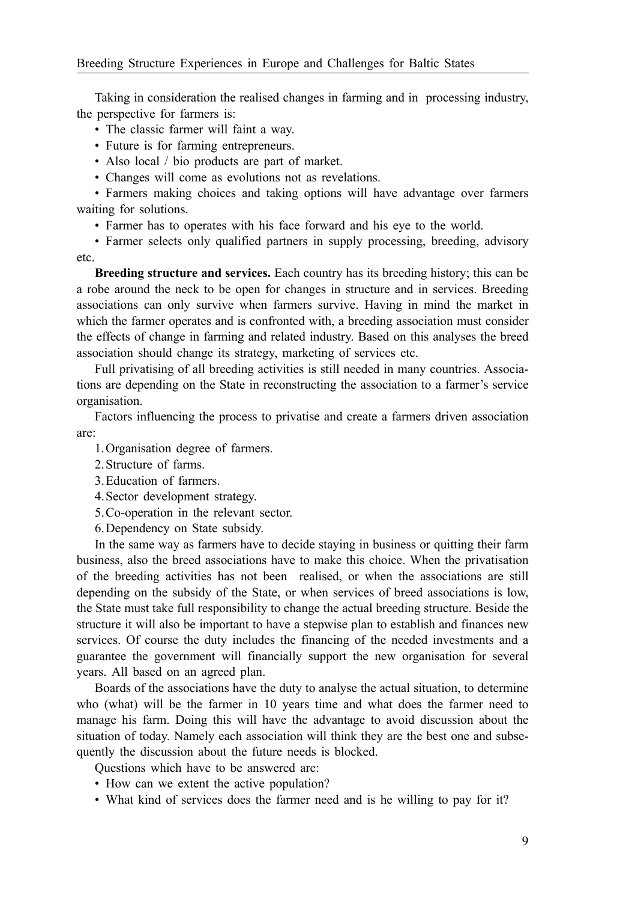Taking in consideration the realised changes in farming and in processing industry, the perspective for farmers is:

- The classic farmer will faint a way.
- Future is for farming entrepreneurs.
- Also local / bio products are part of market.
- Changes will come as evolutions not as revelations.

• Farmers making choices and taking options will have advantage over farmers waiting for solutions.

• Farmer has to operates with his face forward and his eye to the world.

• Farmer selects only qualified partners in supply processing, breeding, advisory etc.

**Breeding structure and services.** Each country has its breeding history; this can be a robe around the neck to be open for changes in structure and in services. Breeding associations can only survive when farmers survive. Having in mind the market in which the farmer operates and is confronted with, a breeding association must consider the effects of change in farming and related industry. Based on this analyses the breed association should change its strategy, marketing of services etc.

Full privatising of all breeding activities is still needed in many countries. Associations are depending on the State in reconstructing the association to a farmer's service organisation.

Factors influencing the process to privatise and create a farmers driven association are:

- 1.Organisation degree of farmers.
- 2.Structure of farms.
- 3.Education of farmers.
- 4.Sector development strategy.
- 5.Co-operation in the relevant sector.

6.Dependency on State subsidy.

In the same way as farmers have to decide staying in business or quitting their farm business, also the breed associations have to make this choice. When the privatisation of the breeding activities has not been realised, or when the associations are still depending on the subsidy of the State, or when services of breed associations is low, the State must take full responsibility to change the actual breeding structure. Beside the structure it will also be important to have a stepwise plan to establish and finances new services. Of course the duty includes the financing of the needed investments and a guarantee the government will financially support the new organisation for several years. All based on an agreed plan.

Boards of the associations have the duty to analyse the actual situation, to determine who (what) will be the farmer in 10 years time and what does the farmer need to manage his farm. Doing this will have the advantage to avoid discussion about the situation of today. Namely each association will think they are the best one and subsequently the discussion about the future needs is blocked.

Questions which have to be answered are:

- How can we extent the active population?
- What kind of services does the farmer need and is he willing to pay for it?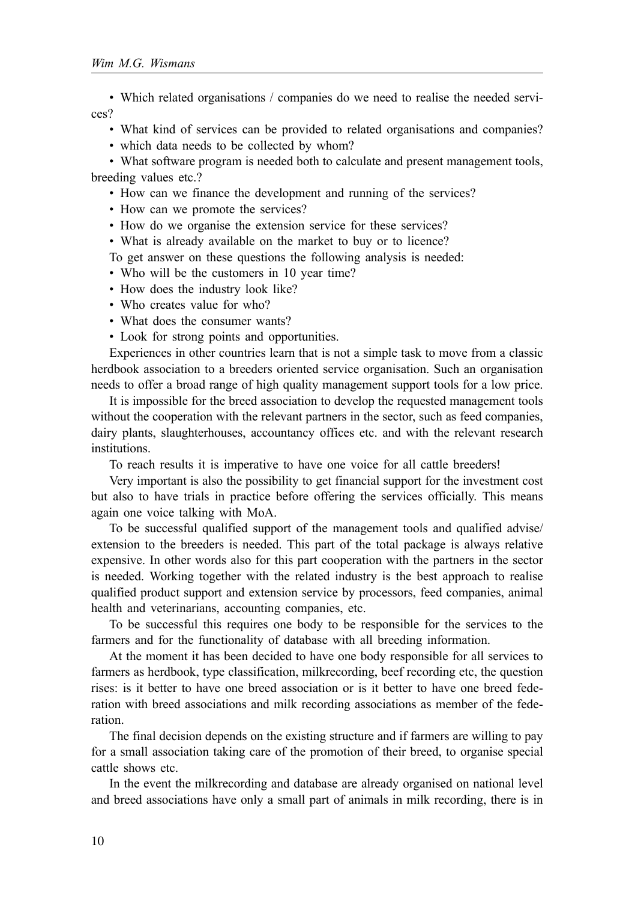• Which related organisations / companies do we need to realise the needed services?

• What kind of services can be provided to related organisations and companies?

• which data needs to be collected by whom?

• What software program is needed both to calculate and present management tools, breeding values etc.?

• How can we finance the development and running of the services?

• How can we promote the services?

• How do we organise the extension service for these services?

• What is already available on the market to buy or to licence?

To get answer on these questions the following analysis is needed:

• Who will be the customers in 10 year time?

- How does the industry look like?
- Who creates value for who?
- What does the consumer wants?
- Look for strong points and opportunities.

Experiences in other countries learn that is not a simple task to move from a classic herdbook association to a breeders oriented service organisation. Such an organisation needs to offer a broad range of high quality management support tools for a low price.

It is impossible for the breed association to develop the requested management tools without the cooperation with the relevant partners in the sector, such as feed companies, dairy plants, slaughterhouses, accountancy offices etc. and with the relevant research institutions.

To reach results it is imperative to have one voice for all cattle breeders!

Very important is also the possibility to get financial support for the investment cost but also to have trials in practice before offering the services officially. This means again one voice talking with MoA.

To be successful qualified support of the management tools and qualified advise/ extension to the breeders is needed. This part of the total package is always relative expensive. In other words also for this part cooperation with the partners in the sector is needed. Working together with the related industry is the best approach to realise qualified product support and extension service by processors, feed companies, animal health and veterinarians, accounting companies, etc.

To be successful this requires one body to be responsible for the services to the farmers and for the functionality of database with all breeding information.

At the moment it has been decided to have one body responsible for all services to farmers as herdbook, type classification, milkrecording, beef recording etc, the question rises: is it better to have one breed association or is it better to have one breed federation with breed associations and milk recording associations as member of the federation.

The final decision depends on the existing structure and if farmers are willing to pay for a small association taking care of the promotion of their breed, to organise special cattle shows etc.

In the event the milkrecording and database are already organised on national level and breed associations have only a small part of animals in milk recording, there is in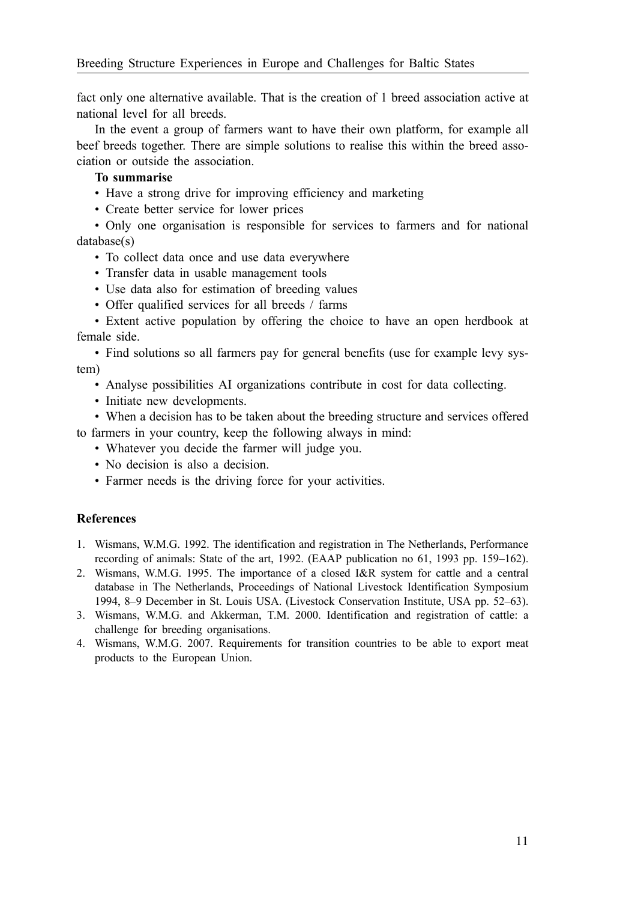fact only one alternative available. That is the creation of 1 breed association active at national level for all breeds.

In the event a group of farmers want to have their own platform, for example all beef breeds together. There are simple solutions to realise this within the breed association or outside the association.

## **To summarise**

- Have a strong drive for improving efficiency and marketing
- Create better service for lower prices

• Only one organisation is responsible for services to farmers and for national database(s)

- To collect data once and use data everywhere
- Transfer data in usable management tools
- Use data also for estimation of breeding values
- Offer qualified services for all breeds / farms

• Extent active population by offering the choice to have an open herdbook at female side.

• Find solutions so all farmers pay for general benefits (use for example levy system)

- Analyse possibilities AI organizations contribute in cost for data collecting.
- Initiate new developments.
- When a decision has to be taken about the breeding structure and services offered to farmers in your country, keep the following always in mind:
	- Whatever you decide the farmer will judge you.
	- No decision is also a decision.
	- Farmer needs is the driving force for your activities.

## **References**

- 1. Wismans, W.M.G. 1992. The identification and registration in The Netherlands, Performance recording of animals: State of the art, 1992. (EAAP publication no 61, 1993 pp. 159–162).
- 2. Wismans, W.M.G. 1995. The importance of a closed I&R system for cattle and a central database in The Netherlands, Proceedings of National Livestock Identification Symposium 1994, 8–9 December in St. Louis USA. (Livestock Conservation Institute, USA pp. 52–63).
- 3. Wismans, W.M.G. and Akkerman, T.M. 2000. Identification and registration of cattle: a challenge for breeding organisations.
- 4. Wismans, W.M.G. 2007. Requirements for transition countries to be able to export meat products to the European Union.